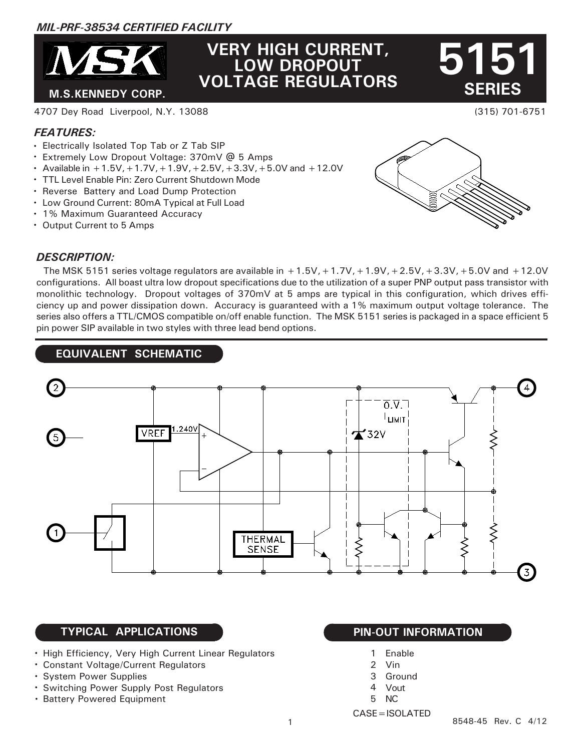# *MIL-PRF-38534 CERTIFIED FACILITY*



# **VERY HIGH CURRENT, LOW DROPOUT VOLTAGE REGULATORS**

 **SERIES 5151**

(315) 701-6751

#### 4707 Dey Road Liverpool, N.Y. 13088

## *FEATURES:*

- Electrically Isolated Top Tab or Z Tab SIP
- Extremely Low Dropout Voltage: 370mV @ 5 Amps
- Available in  $+1.5V$ ,  $+1.7V$ ,  $+1.9V$ ,  $+2.5V$ ,  $+3.3V$ ,  $+5.0V$  and  $+12.0V$
- TTL Level Enable Pin: Zero Current Shutdown Mode
- Reverse Battery and Load Dump Protection
- Low Ground Current: 80mA Typical at Full Load
- 1% Maximum Guaranteed Accuracy
- Output Current to 5 Amps

#### *DESCRIPTION:*



The MSK 5151 series voltage regulators are available in  $+1.5V$ ,  $+1.7V$ ,  $+1.9V$ ,  $+2.5V$ ,  $+3.3V$ ,  $+5.0V$  and  $+12.0V$ configurations. All boast ultra low dropout specifications due to the utilization of a super PNP output pass transistor with monolithic technology. Dropout voltages of 370mV at 5 amps are typical in this configuration, which drives efficiency up and power dissipation down. Accuracy is guaranteed with a 1% maximum output voltage tolerance. The series also offers a TTL/CMOS compatible on/off enable function. The MSK 5151 series is packaged in a space efficient 5 pin power SIP available in two styles with three lead bend options.

# **EQUIVALENT SCHEMATIC**



# **TYPICAL APPLICATIONS**

- High Efficiency, Very High Current Linear Regulators
- Constant Voltage/Current Regulators
- System Power Supplies
- Switching Power Supply Post Regulators
- Battery Powered Equipment

- Enable 1
- 2 Vin
- Ground 3
- Vout 4
- NC 5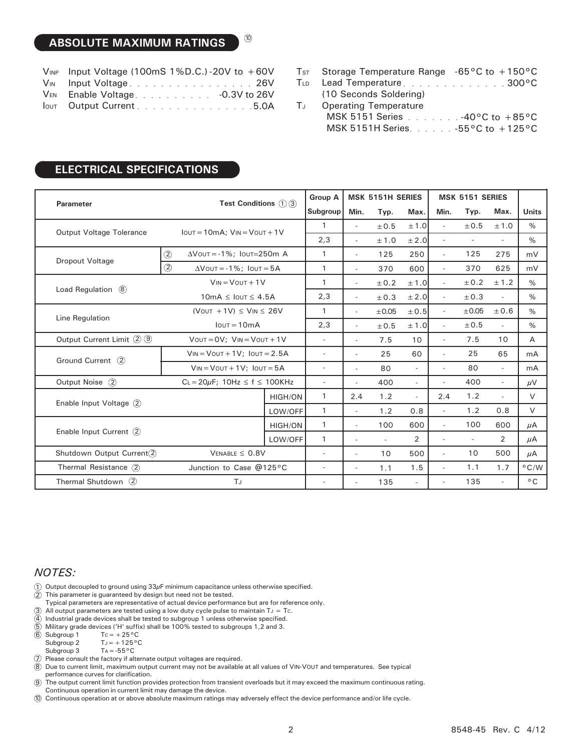# **ABSOLUTE MAXIMUM RATINGS**

| $V_{INP}$ Input Voltage (100mS 1%D.C.) - 20V to $+60V$ |
|--------------------------------------------------------|
| VIN Input Voltage26V                                   |
| VEN Enable Voltage. - 0.3V to 26V                      |
| lout Output Current 5.0A                               |

10

|      | $TsT$ Storage Temperature Range -65°C to +150°C |  |
|------|-------------------------------------------------|--|
|      | TLD Lead Temperature 300°C                      |  |
|      | (10 Seconds Soldering)                          |  |
| Tu l | <b>Operating Temperature</b>                    |  |
|      | MSK 5151 Series 40°C to +85°C                   |  |
|      | MSK 5151H Series. -55°C to +125°C               |  |

# **ELECTRICAL SPECIFICATIONS**

| Parameter                       | <b>Test Conditions</b> $(1)(3)$                     |                                            | <b>Group A</b>           | <b>MSK 5151H SERIES</b>  |                          |                | MSK 5151 SERIES          |                          |                          |                          |                |
|---------------------------------|-----------------------------------------------------|--------------------------------------------|--------------------------|--------------------------|--------------------------|----------------|--------------------------|--------------------------|--------------------------|--------------------------|----------------|
|                                 |                                                     |                                            |                          | Subgroup                 | Min.                     | Typ.           | Max.                     | Min.                     | Typ.                     | Max.                     | <b>Units</b>   |
| <b>Output Voltage Tolerance</b> | $I$ out = 10mA; $V$ <sub>IN</sub> = $V$ out + 1 $V$ |                                            | $\mathbf{1}$             | $\overline{a}$           | ±0.5                     | $\pm$ 1.0      | $\sim$                   | ±0.5                     | ±1.0                     | $\%$                     |                |
|                                 |                                                     |                                            | 2,3                      | $\overline{\phantom{a}}$ | ± 1.0                    | ± 2.0          | $\sim$                   | $\overline{\phantom{a}}$ | $\sim$                   | $\%$                     |                |
| Dropout Voltage                 | $\circled{2}$                                       | $\Delta$ Vout = -1%; Iout=250m A           |                          | $\mathbf{1}$             | $\overline{\phantom{a}}$ | 125            | 250                      | $\sim$                   | 125                      | 275                      | mV             |
|                                 | $\circled{2}$<br>$\Delta$ Vout = -1%; Iout = 5A     |                                            | $\mathbf{1}$             | $\overline{a}$           | 370                      | 600            | $\overline{\phantom{a}}$ | 370                      | 625                      | mV                       |                |
| Load Regulation (8)             | $V_{IN} = V_{OUT} + 1V$                             |                                            | 1                        | $\overline{\phantom{a}}$ | ± 0.2                    | ± 1.0          | $\overline{\phantom{a}}$ | ± 0.2                    | ± 1.2                    | $\%$                     |                |
|                                 | $10mA \leq I$ OUT $\leq 4.5A$                       |                                            | 2,3                      | ٠                        | ± 0.3                    | ± 2.0          | $\sim$                   | ± 0.3                    | $\sim$                   | $\%$                     |                |
| Line Regulation                 | (VOUT $+1V$ ) $\leq$ VIN $\leq$ 26V                 |                                            | 1                        | $\sim$                   | $\pm 0.05$               | $\pm 0.5$      | $\overline{\phantom{a}}$ | $\pm 0.05$               | ±0.6                     | $\%$                     |                |
|                                 | $I$ out = 10mA                                      |                                            | 2,3                      | $\overline{a}$           | ±0.5                     | ±1.0           | $\sim$                   | ±0.5                     | $\sim$                   | $\%$                     |                |
| Output Current Limit 2 9        | $V$ OUT = $OV$ ; $V$ IN = $V$ OUT + 1V              |                                            |                          | $\overline{\phantom{a}}$ | $\overline{\phantom{a}}$ | 7.5            | 10                       | $\overline{\phantom{a}}$ | 7.5                      | 10                       | A              |
| Ground Current (2)              | $V_{IN} = V_{OUT} + 1V$ ; $I_{OUT} = 2.5A$          |                                            | $\overline{\phantom{0}}$ | $\overline{\phantom{a}}$ | 25                       | 60             |                          | 25                       | 65                       | mA                       |                |
|                                 | $V_{IN} = V_{OUT} + 1V$ ; $I_{OUT} = 5A$            |                                            | $\overline{\phantom{a}}$ | $\overline{\phantom{a}}$ | 80                       | $\sim$         | $\overline{\phantom{a}}$ | 80                       | $\sim$                   | mA                       |                |
| Output Noise (2)                |                                                     | $CL = 20\mu F$ ; 10Hz $\leq f \leq$ 100KHz |                          | $\overline{\phantom{a}}$ | ٠                        | 400            | $\overline{\phantom{a}}$ | $\sim$                   | 400                      | $\mathcal{L}$            | $\mu$ V        |
| Enable Input Voltage (2)        |                                                     |                                            | <b>HIGH/ON</b>           | $\mathbf{1}$             | 2.4                      | 1.2            | $\sim$                   | 2.4                      | 1.2                      | $\sim$                   | $\vee$         |
|                                 |                                                     |                                            | LOW/OFF                  | 1                        | $\sim$                   | 1.2            | 0.8                      | $\overline{\phantom{a}}$ | 1.2                      | 0.8                      | V              |
| Enable Input Current (2)        |                                                     |                                            | <b>HIGH/ON</b>           | 1                        | $\overline{\phantom{a}}$ | 100            | 600                      | $\sim$                   | 100                      | 600                      | μA             |
|                                 |                                                     |                                            | LOW/OFF                  | $\mathbf{1}$             | $\overline{\phantom{a}}$ | $\overline{a}$ | $\overline{2}$           | $\overline{\phantom{a}}$ | $\overline{\phantom{a}}$ | $\overline{2}$           | μA             |
| Shutdown Output Current(2)      |                                                     | $V_{ENABLE} \leq 0.8V$                     |                          | $\overline{\phantom{a}}$ | $\overline{\phantom{a}}$ | 10             | 500                      | $\overline{a}$           | 10                       | 500                      | μA             |
| Thermal Resistance (2)          |                                                     |                                            | Junction to Case @125°C  |                          | $\overline{\phantom{a}}$ | 1.1            | 1.5                      | $\overline{\phantom{a}}$ | 1.1                      | 1.7                      | $^{\circ}$ C/W |
| Thermal Shutdown $(2)$          |                                                     | TJ                                         |                          | $\overline{a}$           | $\overline{\phantom{0}}$ | 135            | $\overline{\phantom{a}}$ | $\overline{a}$           | 135                      | $\overline{\phantom{a}}$ | $^{\circ}$ C   |

#### *NOTES:*

- 1 Output decoupled to ground using  $33\mu$ F minimum capacitance unless otherwise specified.
- 2 This parameter is guaranteed by design but need not be tested.
- Typical parameters are representative of actual device performance but are for reference only.
- 3 All output parameters are tested using a low duty cycle pulse to maintain  $T_J = Tc$ .
- 4 Industrial grade devices shall be tested to subgroup 1 unless otherwise specified.
- 5 Military grade devices ('H' suffix) shall be 100% tested to subgroups 1,2 and 3.
- 6 Subgroup 1  $Tc=+25^{\circ}C$

Subgroup 2  $T_J=+125\,^{\rm o}{\rm C}$ 

- Subgroup 3  $Ta = -55^{\circ}C$
- 7 Please consult the factory if alternate output voltages are required.
- 8 Due to current limit, maximum output current may not be available at all values of VIN-VOUT and temperatures. See typical
- performance curves for clarification.
- $\circledcirc$ The output current limit function provides protection from transient overloads but it may exceed the maximum continuous rating. Continuous operation in current limit may damage the device.
- 10 Continuous operation at or above absolute maximum ratings may adversely effect the device performance and/or life cycle.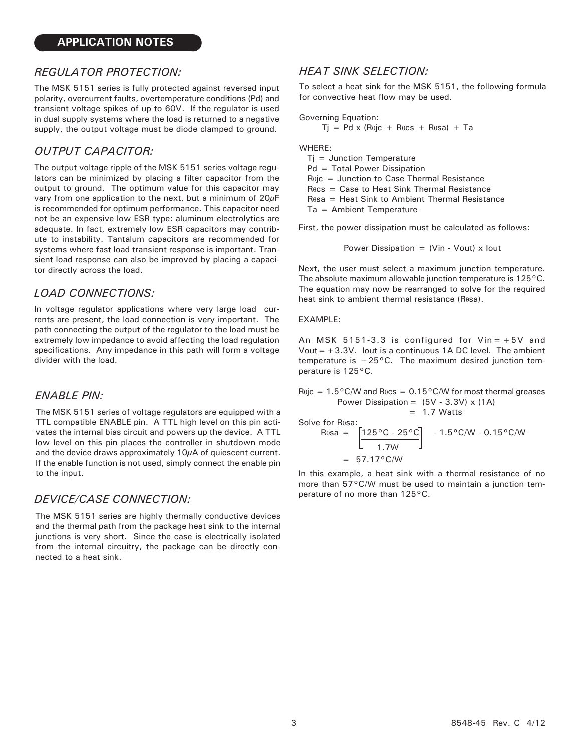#### *REGULATOR PROTECTION:*

The MSK 5151 series is fully protected against reversed input polarity, overcurrent faults, overtemperature conditions (Pd) and transient voltage spikes of up to 60V. If the regulator is used in dual supply systems where the load is returned to a negative supply, the output voltage must be diode clamped to ground.

## *OUTPUT CAPACITOR:*

The output voltage ripple of the MSK 5151 series voltage regulators can be minimized by placing a filter capacitor from the output to ground. The optimum value for this capacitor may vary from one application to the next, but a minimum of 20μF is recommended for optimum performance. This capacitor need not be an expensive low ESR type: aluminum electrolytics are adequate. In fact, extremely low ESR capacitors may contribute to instability. Tantalum capacitors are recommended for systems where fast load transient response is important. Transient load response can also be improved by placing a capacitor directly across the load.

#### *LOAD CONNECTIONS:*

In voltage regulator applications where very large load currents are present, the load connection is very important. The path connecting the output of the regulator to the load must be extremely low impedance to avoid affecting the load regulation specifications. Any impedance in this path will form a voltage divider with the load.

#### *ENABLE PIN:*

The MSK 5151 series of voltage regulators are equipped with a TTL compatible ENABLE pin. A TTL high level on this pin activates the internal bias circuit and powers up the device. A TTL low level on this pin places the controller in shutdown mode and the device draws approximately 10 $\mu$ A of quiescent current. If the enable function is not used, simply connect the enable pin to the input.

### *DEVICE/CASE CONNECTION:*

The MSK 5151 series are highly thermally conductive devices and the thermal path from the package heat sink to the internal junctions is very short. Since the case is electrically isolated from the internal circuitry, the package can be directly connected to a heat sink.

#### *HEAT SINK SELECTION:*

To select a heat sink for the MSK 5151, the following formula for convective heat flow may be used.

Governing Equation:

$$
Tj = Pd \times (R\theta jc + R\theta cs + R\theta sa) + Ta
$$

WHERE:

 $Tj =$  Junction Temperature Pd = Total Power Dissipation Rθjc = Junction to Case Thermal Resistance Rθcs = Case to Heat Sink Thermal Resistance Rθsa = Heat Sink to Ambient Thermal Resistance Ta = Ambient Temperature

First, the power dissipation must be calculated as follows:

Power Dissipation =  $(Vir - Vout) \times Iout$ 

Next, the user must select a maximum junction temperature. The absolute maximum allowable junction temperature is 125°C. The equation may now be rearranged to solve for the required heat sink to ambient thermal resistance (Rθsa).

#### EXAMPLE:

An MSK  $5151-3.3$  is configured for  $Vin=+5V$  and Vout  $=+3.3V$ . Iout is a continuous 1A DC level. The ambient temperature is  $+25^{\circ}$ C. The maximum desired junction temperature is 125°C.

Rθjc =  $1.5^{\circ}$ C/W and Rθcs =  $0.15^{\circ}$ C/W for most thermal greases Power Dissipation =  $(5V - 3.3V) \times (1A)$  $= 1.7$  Watts

Solve for Resa:

$$
R_{\theta\theta} = \left[ \frac{125\,^{\circ}\text{C} \cdot 25\,^{\circ}\text{C}}{1.7\text{W}} \right] \quad .1.5\,^{\circ}\text{C/W} \cdot 0.15\,^{\circ}\text{C/W}
$$

$$
= 57.17\,^{\circ}\text{C/W}
$$

In this example, a heat sink with a thermal resistance of no more than 57°C/W must be used to maintain a junction temperature of no more than 125°C.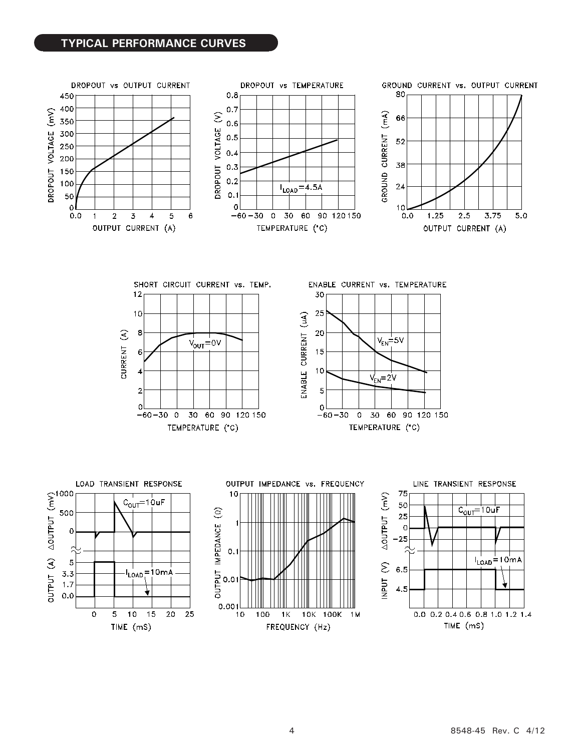### **TYPICAL PERFORMANCE CURVES**